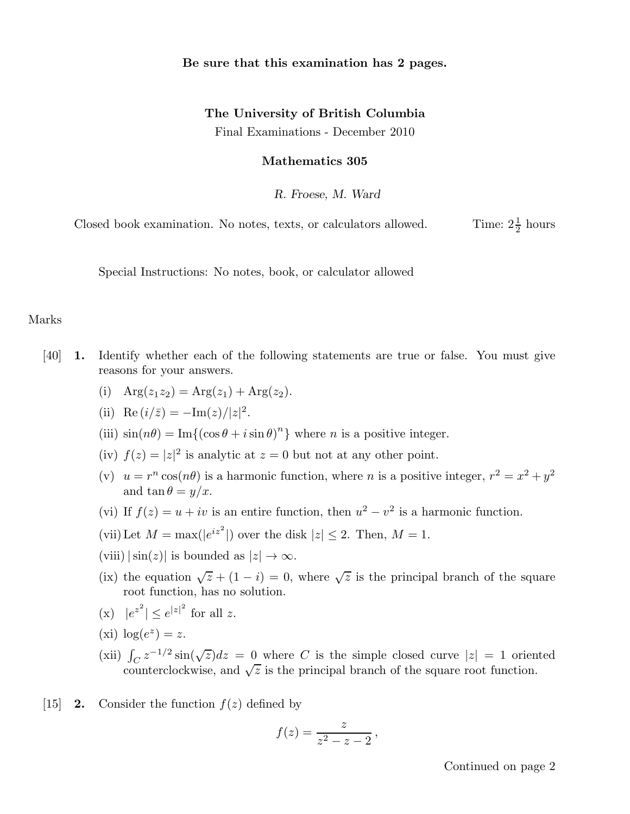## Be sure that this examination has 2 pages.

## The University of British Columbia

Final Examinations - December 2010

## Mathematics 305

R. Froese, M. Ward

Closed book examination. No notes, texts, or calculators allowed.  $\frac{1}{2}$  hours

Special Instructions: No notes, book, or calculator allowed

## Marks

- [40] 1. Identify whether each of the following statements are true or false. You must give reasons for your answers.
	- (i)  $Arg(z_1z_2) = Arg(z_1) + Arg(z_2).$
	- (ii) Re  $(i/\bar{z}) = -\text{Im}(z)/|z|^2$ .
	- (iii)  $\sin(n\theta) = \text{Im}\{(\cos\theta + i\sin\theta)^n\}$  where *n* is a positive integer.
	- (iv)  $f(z) = |z|^2$  is analytic at  $z = 0$  but not at any other point.
	- (v)  $u = r^n \cos(n\theta)$  is a harmonic function, where *n* is a positive integer,  $r^2 = x^2 + y^2$ and  $\tan \theta = y/x$ .
	- (vi) If  $f(z) = u + iv$  is an entire function, then  $u^2 v^2$  is a harmonic function.
	- (vii) Let  $M = \max(|e^{iz^2}|)$  over the disk  $|z| \leq 2$ . Then,  $M = 1$ .
	- (viii)  $|\sin(z)|$  is bounded as  $|z| \to \infty$ .
	- (ix) the equation  $\sqrt{z} + (1 i) = 0$ , where  $\sqrt{z}$  is the principal branch of the square root function, has no solution.
	- (x)  $|e^{z^2}| \le e^{|z|^2}$  for all z.
	- (xi)  $\log(e^z) = z$ .
	- (xii)  $\int_C z^{-1/2} \sin(\sqrt{z}) dz = 0$  where C is the simple closed curve  $|z| = 1$  oriented counterclockwise, and  $\sqrt{z}$  is the principal branch of the square root function.
- [15] **2.** Consider the function  $f(z)$  defined by

$$
f(z)=\frac{z}{z^2-z-2},
$$

Continued on page 2